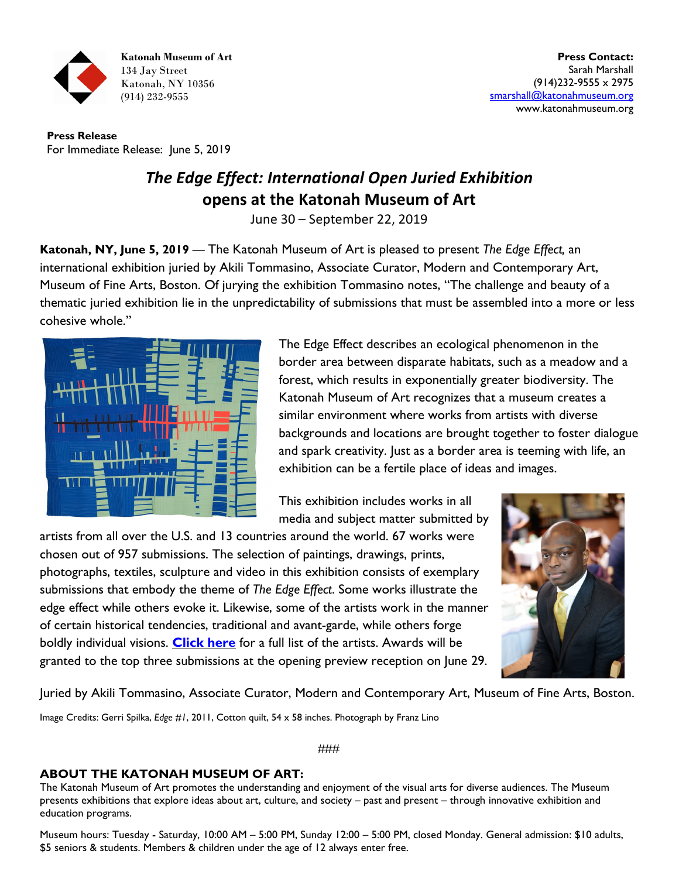

**Press Release** For Immediate Release: June 5, 2019

## *The Edge Effect: International Open Juried Exhibition* **opens at the Katonah Museum of Art**

June 30 – September 22, 2019

**Katonah, NY, June 5, 2019** — The Katonah Museum of Art is pleased to present *The Edge Effect,* an international exhibition juried by Akili Tommasino, Associate Curator, Modern and Contemporary Art, Museum of Fine Arts, Boston. Of jurying the exhibition Tommasino notes, "The challenge and beauty of a thematic juried exhibition lie in the unpredictability of submissions that must be assembled into a more or less cohesive whole."



The Edge Effect describes an ecological phenomenon in the border area between disparate habitats, such as a meadow and a forest, which results in exponentially greater biodiversity. The Katonah Museum of Art recognizes that a museum creates a similar environment where works from artists with diverse backgrounds and locations are brought together to foster dialogue and spark creativity. Just as a border area is teeming with life, an exhibition can be a fertile place of ideas and images.

This exhibition includes works in all media and subject matter submitted by

artists from all over the U.S. and 13 countries around the world. 67 works were chosen out of 957 submissions. The selection of paintings, drawings, prints, photographs, textiles, sculpture and video in this exhibition consists of exemplary submissions that embody the theme of *The Edge Effect*. Some works illustrate the edge effect while others evoke it. Likewise, some of the artists work in the manner of certain historical tendencies, traditional and avant-garde, while others forge boldly individual visions. **[Click here](http://www.katonahmuseum.org/gedownload!/Edge%20Effect%20Accepted%20Artists.pdf?item_id=1995592&version_id=1995593)** for a full list of the artists. Awards will be granted to the top three submissions at the opening preview reception on June 29.



Juried by Akili Tommasino, Associate Curator, Modern and Contemporary Art, Museum of Fine Arts, Boston.

Image Credits: Gerri Spilka, *Edge #1*, 2011, Cotton quilt, 54 x 58 inches. Photograph by Franz Lino

###

## **ABOUT THE KATONAH MUSEUM OF ART:**

The Katonah Museum of Art promotes the understanding and enjoyment of the visual arts for diverse audiences. The Museum presents exhibitions that explore ideas about art, culture, and society – past and present – through innovative exhibition and education programs.

Museum hours: Tuesday - Saturday, 10:00 AM – 5:00 PM, Sunday 12:00 – 5:00 PM, closed Monday. General admission: \$10 adults, \$5 seniors & students. Members & children under the age of 12 always enter free.